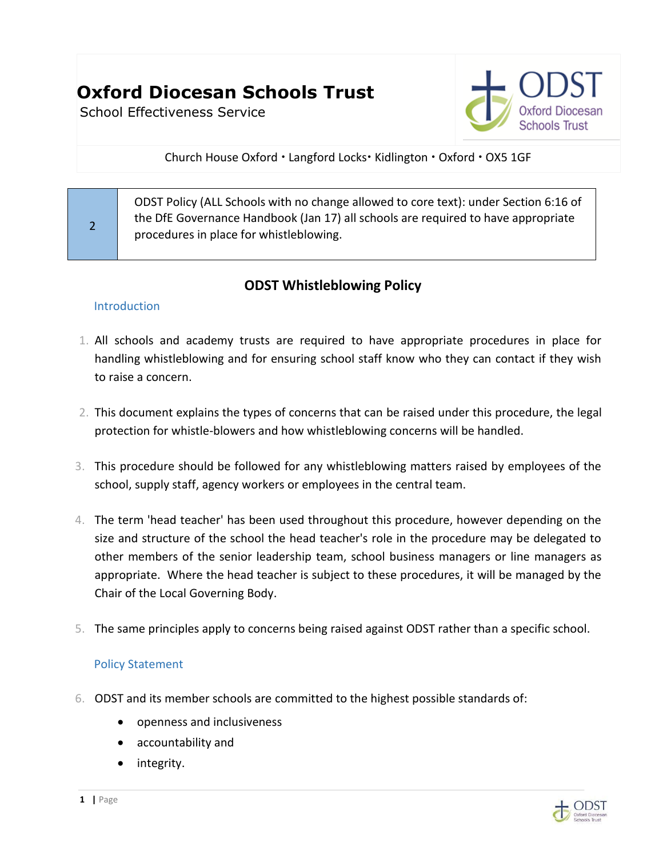# **Oxford Diocesan Schools Trust**

School Effectiveness Service



Church House Oxford . Langford Locks. Kidlington . Oxford . OX5 1GF

ODST Policy (ALL Schools with no change allowed to core text): under Section 6:16 of the DfE Governance Handbook (Jan 17) all schools are required to have appropriate procedures in place for whistleblowing.

# **ODST Whistleblowing Policy**

## **Introduction**

2

- 1. All schools and academy trusts are required to have appropriate procedures in place for handling whistleblowing and for ensuring school staff know who they can contact if they wish to raise a concern.
- 2. This document explains the types of concerns that can be raised under this procedure, the legal protection for whistle-blowers and how whistleblowing concerns will be handled.
- 3. This procedure should be followed for any whistleblowing matters raised by employees of the school, supply staff, agency workers or employees in the central team.
- 4. The term 'head teacher' has been used throughout this procedure, however depending on the size and structure of the school the head teacher's role in the procedure may be delegated to other members of the senior leadership team, school business managers or line managers as appropriate. Where the head teacher is subject to these procedures, it will be managed by the Chair of the Local Governing Body.
- 5. The same principles apply to concerns being raised against ODST rather than a specific school.

# Policy Statement

- 6. ODST and its member schools are committed to the highest possible standards of:
	- openness and inclusiveness
	- accountability and
	- integrity.

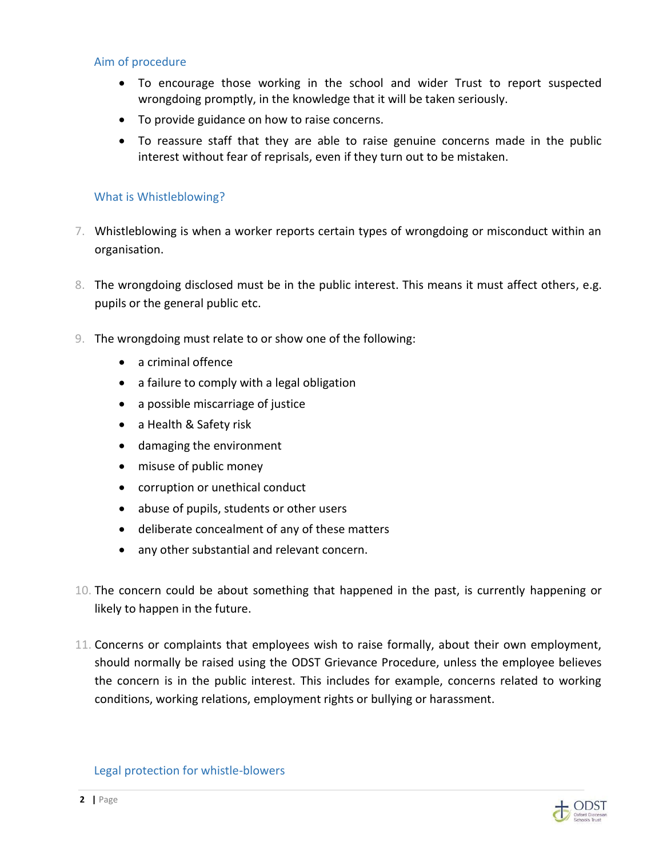#### Aim of procedure

- To encourage those working in the school and wider Trust to report suspected wrongdoing promptly, in the knowledge that it will be taken seriously.
- To provide guidance on how to raise concerns.
- To reassure staff that they are able to raise genuine concerns made in the public interest without fear of reprisals, even if they turn out to be mistaken.

#### What is Whistleblowing?

- 7. Whistleblowing is when a worker reports certain types of wrongdoing or misconduct within an organisation.
- 8. The wrongdoing disclosed must be in the public interest. This means it must affect others, e.g. pupils or the general public etc.
- 9. The wrongdoing must relate to or show one of the following:
	- a criminal offence
	- a failure to comply with a legal obligation
	- a possible miscarriage of justice
	- a Health & Safety risk
	- damaging the environment
	- misuse of public money
	- corruption or unethical conduct
	- abuse of pupils, students or other users
	- deliberate concealment of any of these matters
	- any other substantial and relevant concern.
- 10. The concern could be about something that happened in the past, is currently happening or likely to happen in the future.
- 11. Concerns or complaints that employees wish to raise formally, about their own employment, should normally be raised using the ODST Grievance Procedure, unless the employee believes the concern is in the public interest. This includes for example, concerns related to working conditions, working relations, employment rights or bullying or harassment.

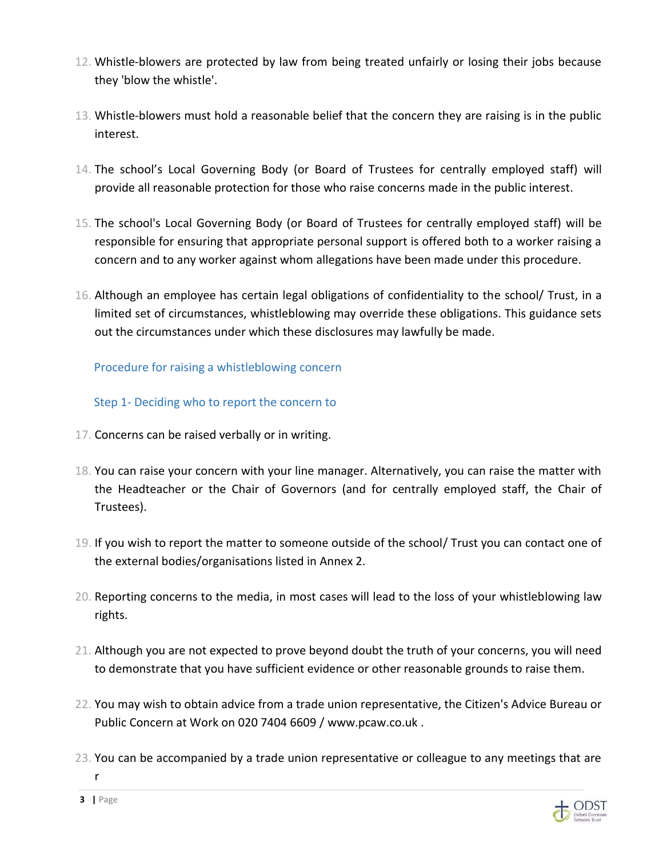- 12. Whistle-blowers are protected by law from being treated unfairly or losing their jobs because they 'blow the whistle'.
- 13. Whistle-blowers must hold a reasonable belief that the concern they are raising is in the public interest.
- 14. The school's Local Governing Body (or Board of Trustees for centrally employed staff) will provide all reasonable protection for those who raise concerns made in the public interest.
- 15. The school's Local Governing Body (or Board of Trustees for centrally employed staff) will be responsible for ensuring that appropriate personal support is offered both to a worker raising a concern and to any worker against whom allegations have been made under this procedure.
- 16. Although an employee has certain legal obligations of confidentiality to the school/ Trust, in a limited set of circumstances, whistleblowing may override these obligations. This guidance sets out the circumstances under which these disclosures may lawfully be made.

Procedure for raising a whistleblowing concern

Step 1- Deciding who to report the concern to

- 17. Concerns can be raised verbally or in writing.
- 18. You can raise your concern with your line manager. Alternatively, you can raise the matter with the Headteacher or the Chair of Governors (and for centrally employed staff, the Chair of Trustees).
- 19. If you wish to report the matter to someone outside of the school/ Trust you can contact one of the external bodies/organisations listed in Annex 2.
- 20. Reporting concerns to the media, in most cases will lead to the loss of your whistleblowing law rights.
- 21. Although you are not expected to prove beyond doubt the truth of your concerns, you will need to demonstrate that you have sufficient evidence or other reasonable grounds to raise them.
- 22. You may wish to obtain advice from a trade union representative, the Citizen's Advice Bureau or Public Concern at Work on 020 7404 6609 / [www.pcaw.co.uk .](http://www.pcaw.co.uk/)
- 23. You can be accompanied by a trade union representative or colleague to any meetings that are r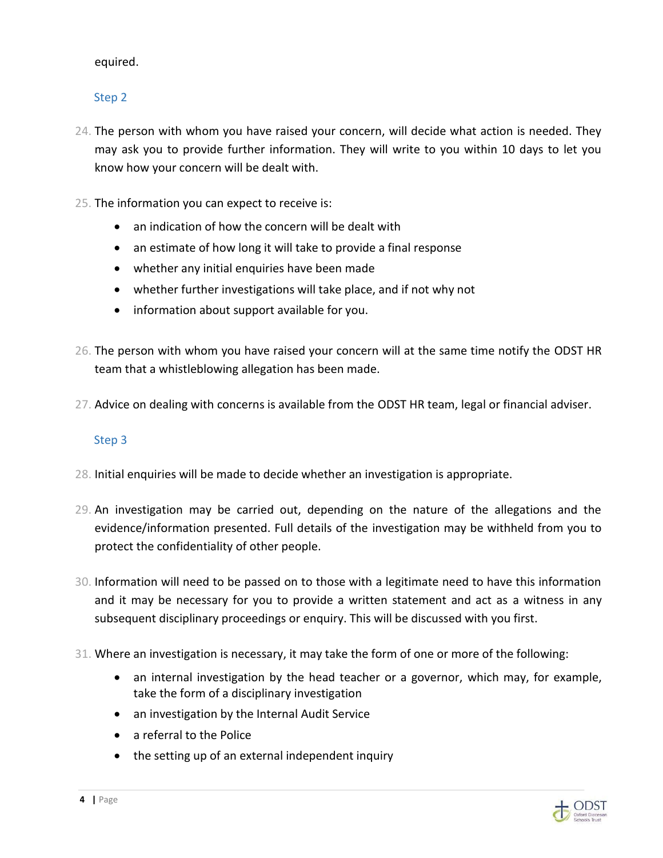#### equired.

# Step 2

- 24. The person with whom you have raised your concern, will decide what action is needed. They may ask you to provide further information. They will write to you within 10 days to let you know how your concern will be dealt with.
- 25. The information you can expect to receive is:
	- an indication of how the concern will be dealt with
	- an estimate of how long it will take to provide a final response
	- whether any initial enquiries have been made
	- whether further investigations will take place, and if not why not
	- information about support available for you.
- 26. The person with whom you have raised your concern will at the same time notify the ODST HR team that a whistleblowing allegation has been made.
- 27. Advice on dealing with concerns is available from the ODST HR team, legal or financial adviser.

#### Step 3

- 28. Initial enquiries will be made to decide whether an investigation is appropriate.
- 29. An investigation may be carried out, depending on the nature of the allegations and the evidence/information presented. Full details of the investigation may be withheld from you to protect the confidentiality of other people.
- 30. Information will need to be passed on to those with a legitimate need to have this information and it may be necessary for you to provide a written statement and act as a witness in any subsequent disciplinary proceedings or enquiry. This will be discussed with you first.
- 31. Where an investigation is necessary, it may take the form of one or more of the following:
	- an internal investigation by the head teacher or a governor, which may, for example, take the form of a disciplinary investigation
	- an investigation by the Internal Audit Service
	- a referral to the Police
	- the setting up of an external independent inquiry

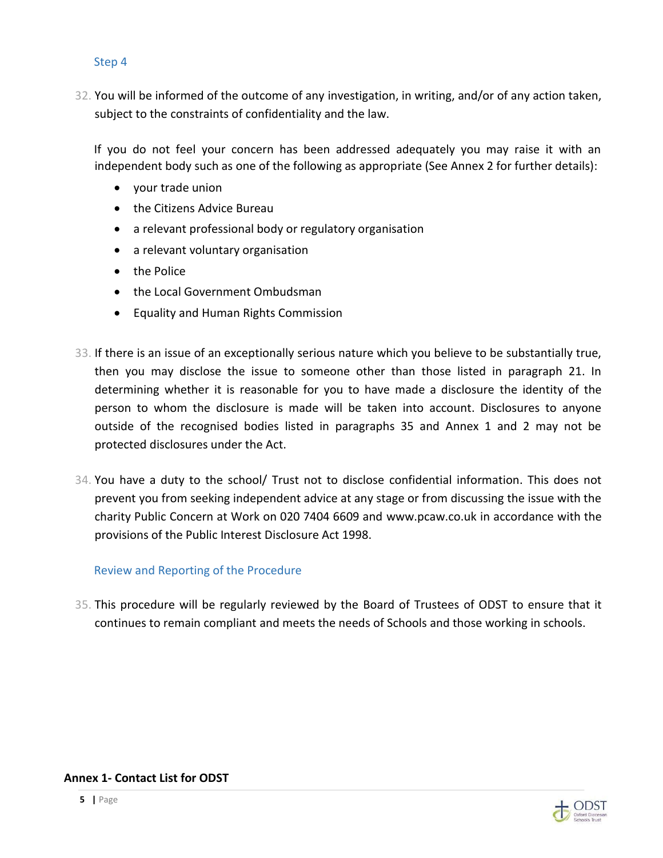#### Step 4

32. You will be informed of the outcome of any investigation, in writing, and/or of any action taken, subject to the constraints of confidentiality and the law.

If you do not feel your concern has been addressed adequately you may raise it with an independent body such as one of the following as appropriate (See Annex 2 for further details):

- your trade union
- the Citizens Advice Bureau
- a relevant professional body or regulatory organisation
- a relevant voluntary organisation
- the Police
- the Local Government Ombudsman
- Equality and Human Rights Commission
- 33. If there is an issue of an exceptionally serious nature which you believe to be substantially true, then you may disclose the issue to someone other than those listed in paragraph 21. In determining whether it is reasonable for you to have made a disclosure the identity of the person to whom the disclosure is made will be taken into account. Disclosures to anyone outside of the recognised bodies listed in paragraphs 35 and Annex 1 and 2 may not be protected disclosures under the Act.
- 34. You have a duty to the school/ Trust not to disclose confidential information. This does not prevent you from seeking independent advice at any stage or from discussing the issue with the charity Public Concern at Work on 020 7404 6609 and [www.pcaw.co.uk i](http://www.pcaw.co.uk/)n accordance with the provisions of the Public Interest Disclosure Act 1998.

#### Review and Reporting of the Procedure

35. This procedure will be regularly reviewed by the Board of Trustees of ODST to ensure that it continues to remain compliant and meets the needs of Schools and those working in schools.

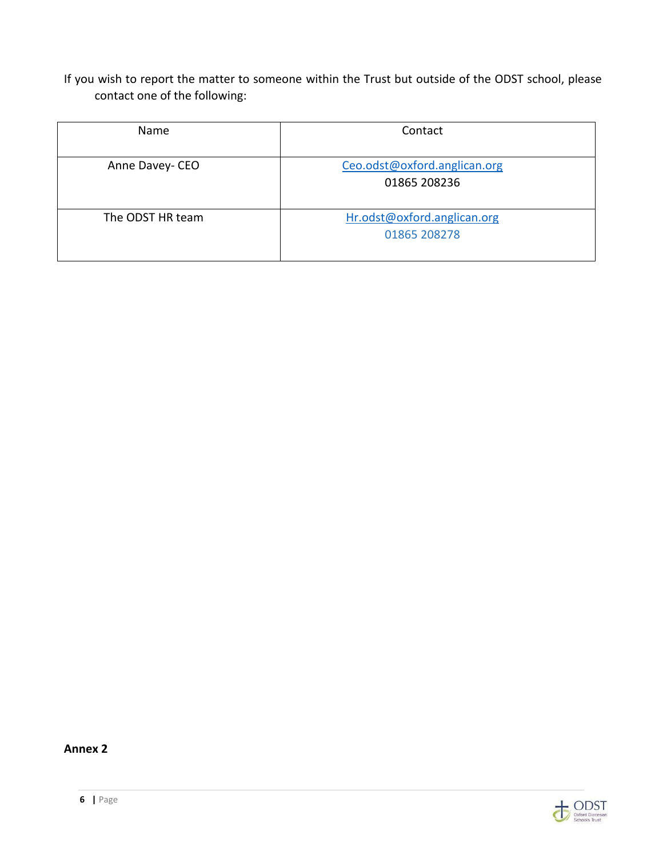If you wish to report the matter to someone within the Trust but outside of the ODST school, please contact one of the following:

| <b>Name</b>      | Contact                                      |
|------------------|----------------------------------------------|
| Anne Davey- CEO  | Ceo.odst@oxford.anglican.org<br>01865 208236 |
| The ODST HR team | Hr.odst@oxford.anglican.org<br>01865 208278  |

**Annex 2**